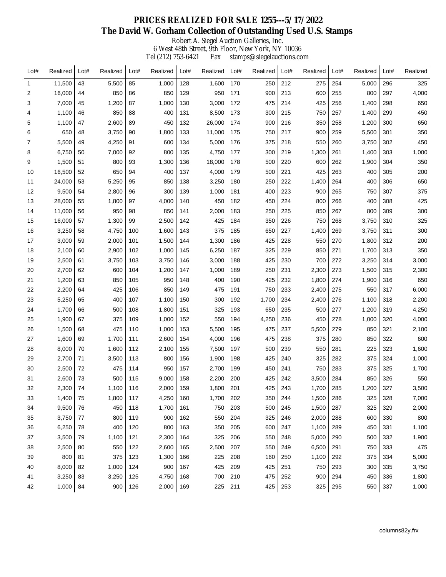Robert A. Siegel Auction Galleries, Inc.

6 West 48th Street, 9th Floor, New York, NY 10036 Tel (212) 753-6421 Fax stamps@siegelauctions.com

| Lot# | Realized | Lot# | Realized | Lot# | Realized | Lot# | Realized | Lot# | Realized | Lot# | Realized | Lot# | Realized | Lot# | Realized |
|------|----------|------|----------|------|----------|------|----------|------|----------|------|----------|------|----------|------|----------|
| -1   | 11,500   | 43   | 5,500    | 85   | 1,000    | 128  | 1,600    | 170  | 250      | 212  | 275      | 254  | 5,000    | 296  | 325      |
| 2    | 16,000   | 44   | 850      | 86   | 850      | 129  | 950      | 171  | 900      | 213  | 600      | 255  | 800      | 297  | 4,000    |
| 3    | 7,000    | 45   | 1,200    | 87   | 1,000    | 130  | 3,000    | 172  | 475      | 214  | 425      | 256  | 1,400    | 298  | 650      |
| 4    | 1,100    | 46   | 850      | 88   | 400      | 131  | 8,500    | 173  | 300      | 215  | 750      | 257  | 1,400    | 299  | 450      |
| 5    | 1,100    | 47   | 2,600    | 89   | 450      | 132  | 26,000   | 174  | 900      | 216  | 350      | 258  | 1,200    | 300  | 650      |
| 6    | 650      | 48   | 3,750    | 90   | 1,800    | 133  | 11,000   | 175  | 750      | 217  | 900      | 259  | 5,500    | 301  | 350      |
| 7    | 5,500    | 49   | 4,250    | 91   | 600      | 134  | 5,000    | 176  | 375      | 218  | 550      | 260  | 3,750    | 302  | 450      |
| 8    | 6,750    | 50   | 7,000    | 92   | 800      | 135  | 4,750    | 177  | 300      | 219  | 1,300    | 261  | 1,400    | 303  | 1,000    |
| 9    | 1,500    | 51   | 800      | 93   | 1,300    | 136  | 18,000   | 178  | 500      | 220  | 600      | 262  | 1,900    | 304  | 350      |
| 10   | 16,500   | 52   | 650      | 94   | 400      | 137  | 4,000    | 179  | 500      | 221  | 425      | 263  | 400      | 305  | 200      |
| 11   | 24,000   | 53   | 5,250    | 95   | 850      | 138  | 3,250    | 180  | 250      | 222  | 1,400    | 264  | 400      | 306  | 650      |
| 12   | 9,500    | 54   | 2,800    | 96   | 300      | 139  | 1,000    | 181  | 400      | 223  | 900      | 265  | 750      | 307  | 375      |
| 13   | 28,000   | 55   | 1,800    | 97   | 4,000    | 140  | 450      | 182  | 450      | 224  | 800      | 266  | 400      | 308  | 425      |
| 14   | 11,000   | 56   | 950      | 98   | 850      | 141  | 2,000    | 183  | 250      | 225  | 850      | 267  | 800      | 309  | 300      |
| 15   | 16,000   | 57   | 1,300    | 99   | 2,500    | 142  | 425      | 184  | 350      | 226  | 750      | 268  | 3,750    | 310  | 325      |
| 16   | 3,250    | 58   | 4,750    | 100  | 1,600    | 143  | 375      | 185  | 650      | 227  | 1,400    | 269  | 3,750    | 311  | 300      |
| 17   | 3,000    | 59   | 2,000    | 101  | 1,500    | 144  | 1,300    | 186  | 425      | 228  | 550      | 270  | 1,800    | 312  | 200      |
| 18   | 2,100    | 60   | 2,900    | 102  | 1,000    | 145  | 6,250    | 187  | 325      | 229  | 850      | 271  | 1,700    | 313  | 350      |
| 19   | 2,500    | 61   | 3,750    | 103  | 3,750    | 146  | 3,000    | 188  | 425      | 230  | 700      | 272  | 3,250    | 314  | 3,000    |
| 20   | 2,700    | 62   | 600      | 104  | 1,200    | 147  | 1,000    | 189  | 250      | 231  | 2,300    | 273  | 1,500    | 315  | 2,300    |
| 21   | 1,200    | 63   | 850      | 105  | 950      | 148  | 400      | 190  | 425      | 232  | 1,800    | 274  | 1,900    | 316  | 650      |
| 22   | 2,200    | 64   | 425      | 106  | 850      | 149  | 475      | 191  | 750      | 233  | 2,400    | 275  | 550      | 317  | 6,000    |
| 23   | 5,250    | 65   | 400      | 107  | 1,100    | 150  | 300      | 192  | 1,700    | 234  | 2,400    | 276  | 1,100    | 318  | 2,200    |
| 24   | 1,700    | 66   | 500      | 108  | 1,800    | 151  | 325      | 193  | 650      | 235  | 500      | 277  | 1,200    | 319  | 4,250    |
| 25   | 1,900    | 67   | 375      | 109  | 1,000    | 152  | 550      | 194  | 4,250    | 236  | 450      | 278  | 1,000    | 320  | 4,000    |
| 26   | 1,500    | 68   | 475      | 110  | 1,000    | 153  | 5,500    | 195  | 475      | 237  | 5,500    | 279  | 850      | 321  | 2,100    |
| 27   | 1,600    | 69   | 1,700    | 111  | 2,600    | 154  | 4,000    | 196  | 475      | 238  | 375      | 280  | 850      | 322  | 600      |
| 28   | 8,000    | 70   | 1,600    | 112  | 2,100    | 155  | 7,500    | 197  | 500      | 239  | 550      | 281  | 225      | 323  | 1,600    |
| 29   | 2,700    | 71   | 3,500    | 113  | 800      | 156  | 1,900    | 198  | 425      | 240  | 325      | 282  | 375      | 324  | 1,000    |
| 30   | 2,500    | 72   | 475      | 114  | 950      | 157  | 2,700    | 199  | 450      | 241  | 750      | 283  | 375      | 325  | 1,700    |
| 31   | 2,600    | 73   | 500      | 115  | 9,000    | 158  | 2,200    | 200  | 425      | 242  | 3,500    | 284  | 850      | 326  | 550      |
| 32   | 2,300    | 74   | 1,100    | 116  | 2,000    | 159  | 1,800    | 201  | 425      | 243  | 1,700    | 285  | 1,200    | 327  | 3,500    |
| 33   | 1,400    | 75   | 1,800    | 117  | 4,250    | 160  | 1,700    | 202  | 350      | 244  | 1,500    | 286  | 325      | 328  | 7,000    |
| 34   | 9,500    | 76   | 450      | 118  | 1,700    | 161  | 750      | 203  | 500      | 245  | 1,500    | 287  | 325      | 329  | 2,000    |
| 35   | 3,750    | 77   | 800      | 119  | 900      | 162  | 550      | 204  | 325      | 246  | 2,000    | 288  | 600      | 330  | 800      |
| 36   | 6,250    | 78   | 400      | 120  | 800      | 163  | 350      | 205  | 600      | 247  | 1,100    | 289  | 450      | 331  | 1,100    |
| 37   | 3,500    | 79   | 1,100    | 121  | 2,300    | 164  | 325      | 206  | 550      | 248  | 5,000    | 290  | 500      | 332  | 1,900    |
| 38   | 2,500    | 80   | 550      | 122  | 2,600    | 165  | 2,500    | 207  | 550      | 249  | 6,500    | 291  | 750      | 333  | 475      |
| 39   | 800      | 81   | 375      | 123  | 1,300    | 166  | 225      | 208  | 160      | 250  | 1,100    | 292  | 375      | 334  | 5,000    |
| 40   | 8,000    | 82   | 1,000    | 124  | 900      | 167  | 425      | 209  | 425      | 251  | 750      | 293  | 300      | 335  | 3,750    |
| 41   | 3,250    | 83   | 3,250    | 125  | 4,750    | 168  | 700      | 210  | 475      | 252  | 900      | 294  | 450      | 336  | 1,800    |
| 42   | 1,000    | 84   | 900      | 126  | 2,000    | 169  | 225      | 211  | 425      | 253  | 325      | 295  | 550      | 337  | 1,000    |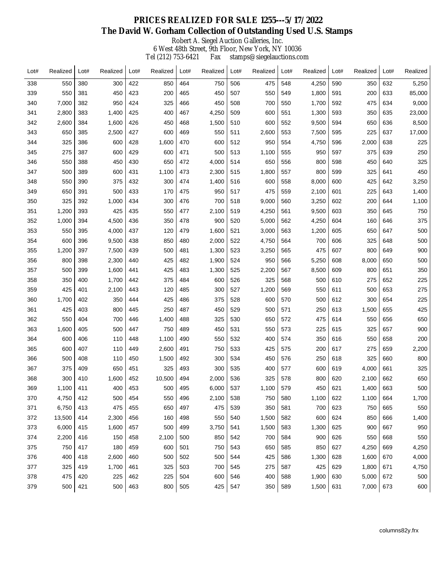Robert A. Siegel Auction Galleries, Inc.

6 West 48th Street, 9th Floor, New York, NY 10036 Tel (212) 753-6421 Fax stamps@siegelauctions.com

| Lot# | Realized | Lot# | Realized | Lot# | Realized | Lot# | Realized | Lot# | Realized | Lot# | Realized | Lot# | Realized | Lot# | Realized |
|------|----------|------|----------|------|----------|------|----------|------|----------|------|----------|------|----------|------|----------|
| 338  | 550      | 380  | 300      | 422  | 850      | 464  | 750      | 506  | 475      | 548  | 4,250    | 590  | 350      | 632  | 5,250    |
| 339  | 550      | 381  | 450      | 423  | 200      | 465  | 450      | 507  | 550      | 549  | 1,800    | 591  | 200      | 633  | 85,000   |
| 340  | 7,000    | 382  | 950      | 424  | 325      | 466  | 450      | 508  | 700      | 550  | 1,700    | 592  | 475      | 634  | 9,000    |
| 341  | 2,800    | 383  | 1,400    | 425  | 400      | 467  | 4,250    | 509  | 600      | 551  | 1,300    | 593  | 350      | 635  | 23,000   |
| 342  | 2,600    | 384  | 1,600    | 426  | 450      | 468  | 1,500    | 510  | 600      | 552  | 9,500    | 594  | 650      | 636  | 8,500    |
| 343  | 650      | 385  | 2,500    | 427  | 600      | 469  | 550      | 511  | 2,600    | 553  | 7,500    | 595  | 225      | 637  | 17,000   |
| 344  | 325      | 386  | 600      | 428  | 1,600    | 470  | 600      | 512  | 950      | 554  | 4,750    | 596  | 2,000    | 638  | 225      |
| 345  | 275      | 387  | 600      | 429  | 600      | 471  | 500      | 513  | 1,100    | 555  | 950      | 597  | 375      | 639  | 250      |
| 346  | 550      | 388  | 450      | 430  | 650      | 472  | 4,000    | 514  | 650      | 556  | 800      | 598  | 450      | 640  | 325      |
| 347  | 500      | 389  | 600      | 431  | 1,100    | 473  | 2,300    | 515  | 1,800    | 557  | 800      | 599  | 325      | 641  | 450      |
| 348  | 550      | 390  | 375      | 432  | 300      | 474  | 1,400    | 516  | 600      | 558  | 8,000    | 600  | 425      | 642  | 3,250    |
| 349  | 650      | 391  | 500      | 433  | 170      | 475  | 950      | 517  | 475      | 559  | 2,100    | 601  | 225      | 643  | 1,400    |
| 350  | 325      | 392  | 1,000    | 434  | 300      | 476  | 700      | 518  | 9,000    | 560  | 3,250    | 602  | 200      | 644  | 1,100    |
| 351  | 1,200    | 393  | 425      | 435  | 550      | 477  | 2,100    | 519  | 4,250    | 561  | 9,500    | 603  | 350      | 645  | 750      |
| 352  | 1,000    | 394  | 4,500    | 436  | 350      | 478  | 900      | 520  | 5,000    | 562  | 4,250    | 604  | 160      | 646  | 375      |
| 353  | 550      | 395  | 4,000    | 437  | 120      | 479  | 1,600    | 521  | 3,000    | 563  | 1,200    | 605  | 650      | 647  | 500      |
| 354  | 600      | 396  | 9,500    | 438  | 850      | 480  | 2,000    | 522  | 4,750    | 564  | 700      | 606  | 325      | 648  | 500      |
| 355  | 1,200    | 397  | 7,500    | 439  | 500      | 481  | 1,300    | 523  | 3,250    | 565  | 475      | 607  | 800      | 649  | 900      |
| 356  | 800      | 398  | 2,300    | 440  | 425      | 482  | 1,900    | 524  | 950      | 566  | 5,250    | 608  | 8,000    | 650  | 500      |
| 357  | 500      | 399  | 1,600    | 441  | 425      | 483  | 1,300    | 525  | 2,200    | 567  | 8,500    | 609  | 800      | 651  | 350      |
| 358  | 350      | 400  | 1,700    | 442  | 375      | 484  | 600      | 526  | 325      | 568  | 500      | 610  | 275      | 652  | 225      |
| 359  | 425      | 401  | 2,100    | 443  | 120      | 485  | 300      | 527  | 1,200    | 569  | 550      | 611  | 500      | 653  | 275      |
| 360  | 1,700    | 402  | 350      | 444  | 425      | 486  | 375      | 528  | 600      | 570  | 500      | 612  | 300      | 654  | 225      |
| 361  | 425      | 403  | 800      | 445  | 250      | 487  | 450      | 529  | 500      | 571  | 250      | 613  | 1,500    | 655  | 425      |
| 362  | 550      | 404  | 700      | 446  | 1,400    | 488  | 325      | 530  | 650      | 572  | 475      | 614  | 550      | 656  | 650      |
| 363  | 1,600    | 405  | 500      | 447  | 750      | 489  | 450      | 531  | 550      | 573  | 225      | 615  | 325      | 657  | 900      |
| 364  | 600      | 406  | 110      | 448  | 1,100    | 490  | 550      | 532  | 400      | 574  | 350      | 616  | 550      | 658  | 200      |
| 365  | 600      | 407  | 110      | 449  | 2,600    | 491  | 750      | 533  | 425      | 575  | 200      | 617  | 275      | 659  | 2,200    |
| 366  | 500      | 408  | 110      | 450  | 1,500    | 492  | 300      | 534  | 450      | 576  | 250      | 618  | 325      | 660  | 800      |
| 367  | 375      | 409  | 650      | 451  | 325      | 493  | 300      | 535  | 400      | 577  | 600      | 619  | 4,000    | 661  | 325      |
| 368  | 300      | 410  | 1,600    | 452  | 10,500   | 494  | 2,000    | 536  | 325      | 578  | 800      | 620  | 2,100    | 662  | 650      |
| 369  | 1,100    | 411  | 400      | 453  | 500      | 495  | 6,000    | 537  | 1,100    | 579  | 450      | 621  | 1,400    | 663  | 500      |
| 370  | 4,750    | 412  | 500      | 454  | 550      | 496  | 2,100    | 538  | 750      | 580  | 1,100    | 622  | 1,100    | 664  | 1,700    |
| 371  | 6,750    | 413  | 475      | 455  | 650      | 497  | 475      | 539  | 350      | 581  | 700      | 623  | 750      | 665  | 550      |
| 372  | 13,500   | 414  | 2,300    | 456  | 160      | 498  | 550      | 540  | 1,500    | 582  | 600      | 624  | 850      | 666  | 1,400    |
| 373  | 6,000    | 415  | 1,600    | 457  | 500      | 499  | 3,750    | 541  | 1,500    | 583  | 1,300    | 625  | 900      | 667  | 950      |
| 374  | 2,200    | 416  | 150      | 458  | 2,100    | 500  | 850      | 542  | 700      | 584  | 900      | 626  | 550      | 668  | 550      |
| 375  | 750      | 417  | 180      | 459  | 600      | 501  | 750      | 543  | 650      | 585  | 850      | 627  | 4,250    | 669  | 4,250    |
| 376  | 400      | 418  | 2,600    | 460  | 500      | 502  | 500      | 544  | 425      | 586  | 1,300    | 628  | 1,600    | 670  | 4,000    |
| 377  | 325      | 419  | 1,700    | 461  | 325      | 503  | 700      | 545  | 275      | 587  | 425      | 629  | 1,800    | 671  | 4,750    |
| 378  | 475      | 420  | 225      | 462  | 225      | 504  | 600      | 546  | 400      | 588  | 1,900    | 630  | 5,000    | 672  | 500      |
| 379  | 500      | 421  | 500      | 463  | 800      | 505  | 425      | 547  | 350      | 589  | 1,500    | 631  | 7,000    | 673  | 600      |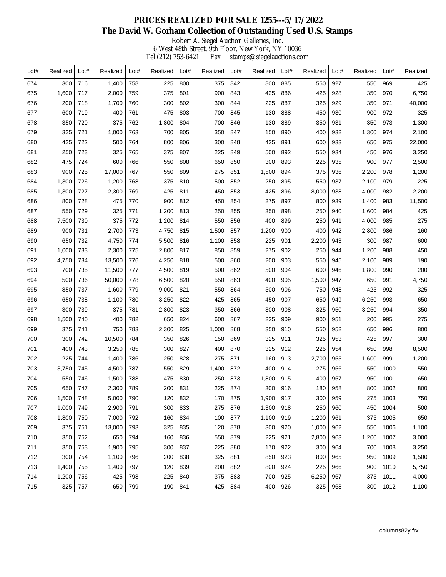Robert A. Siegel Auction Galleries, Inc.

6 West 48th Street, 9th Floor, New York, NY 10036 Tel (212) 753-6421 Fax stamps@siegelauctions.com

| Lot# | Realized | Lot# | Realized | Lot# | Realized | Lot# | Realized | Lot# | Realized | Lot# | Realized | Lot# | Realized | Lot# | Realized |
|------|----------|------|----------|------|----------|------|----------|------|----------|------|----------|------|----------|------|----------|
| 674  | 300      | 716  | 1,400    | 758  | 225      | 800  | 375      | 842  | 800      | 885  | 550      | 927  | 550      | 969  | 425      |
| 675  | 1,600    | 717  | 2,000    | 759  | 375      | 801  | 900      | 843  | 425      | 886  | 425      | 928  | 350      | 970  | 6,750    |
| 676  | 200      | 718  | 1,700    | 760  | 300      | 802  | 300      | 844  | 225      | 887  | 325      | 929  | 350      | 971  | 40,000   |
| 677  | 600      | 719  | 400      | 761  | 475      | 803  | 700      | 845  | 130      | 888  | 450      | 930  | 900      | 972  | 325      |
| 678  | 350      | 720  | 375      | 762  | 1,800    | 804  | 700      | 846  | 130      | 889  | 350      | 931  | 350      | 973  | 1,300    |
| 679  | 325      | 721  | 1,000    | 763  | 700      | 805  | 350      | 847  | 150      | 890  | 400      | 932  | 1,300    | 974  | 2,100    |
| 680  | 425      | 722  | 500      | 764  | 800      | 806  | 300      | 848  | 425      | 891  | 600      | 933  | 650      | 975  | 22,000   |
| 681  | 250      | 723  | 325      | 765  | 375      | 807  | 225      | 849  | 500      | 892  | 550      | 934  | 450      | 976  | 3,250    |
| 682  | 475      | 724  | 600      | 766  | 550      | 808  | 650      | 850  | 300      | 893  | 225      | 935  | 900      | 977  | 2,500    |
| 683  | 900      | 725  | 17,000   | 767  | 550      | 809  | 275      | 851  | 1,500    | 894  | 375      | 936  | 2,200    | 978  | 1,200    |
| 684  | 1,300    | 726  | 1,200    | 768  | 375      | 810  | 500      | 852  | 250      | 895  | 550      | 937  | 2,100    | 979  | 225      |
| 685  | 1,300    | 727  | 2,300    | 769  | 425      | 811  | 450      | 853  | 425      | 896  | 8,000    | 938  | 4,000    | 982  | 2,200    |
| 686  | 800      | 728  | 475      | 770  | 900      | 812  | 450      | 854  | 275      | 897  | 800      | 939  | 1,400    | 983  | 11,500   |
| 687  | 550      | 729  | 325      | 771  | 1,200    | 813  | 250      | 855  | 350      | 898  | 250      | 940  | 1,600    | 984  | 425      |
| 688  | 7,500    | 730  | 375      | 772  | 1,200    | 814  | 550      | 856  | 400      | 899  | 250      | 941  | 4,000    | 985  | 275      |
| 689  | 900      | 731  | 2,700    | 773  | 4,750    | 815  | 1,500    | 857  | 1,200    | 900  | 400      | 942  | 2,800    | 986  | 160      |
| 690  | 650      | 732  | 4,750    | 774  | 5,500    | 816  | 1,100    | 858  | 225      | 901  | 2,200    | 943  | 300      | 987  | 600      |
| 691  | 1,000    | 733  | 2,300    | 775  | 2,800    | 817  | 850      | 859  | 275      | 902  | 250      | 944  | 1,200    | 988  | 450      |
| 692  | 4,750    | 734  | 13,500   | 776  | 4,250    | 818  | 500      | 860  | 200      | 903  | 550      | 945  | 2,100    | 989  | 190      |
| 693  | 700      | 735  | 11,500   | 777  | 4,500    | 819  | 500      | 862  | 500      | 904  | 600      | 946  | 1,800    | 990  | 200      |
| 694  | 500      | 736  | 50,000   | 778  | 6,500    | 820  | 550      | 863  | 400      | 905  | 1,500    | 947  | 650      | 991  | 4,750    |
| 695  | 850      | 737  | 1,600    | 779  | 9,000    | 821  | 550      | 864  | 500      | 906  | 750      | 948  | 425      | 992  | 325      |
| 696  | 650      | 738  | 1,100    | 780  | 3,250    | 822  | 425      | 865  | 450      | 907  | 650      | 949  | 6,250    | 993  | 650      |
| 697  | 300      | 739  | 375      | 781  | 2,800    | 823  | 350      | 866  | 300      | 908  | 325      | 950  | 3,250    | 994  | 350      |
| 698  | 1,500    | 740  | 400      | 782  | 650      | 824  | 600      | 867  | 225      | 909  | 900      | 951  | 200      | 995  | 275      |
| 699  | 375      | 741  | 750      | 783  | 2,300    | 825  | 1,000    | 868  | 350      | 910  | 550      | 952  | 650      | 996  | 800      |
| 700  | 300      | 742  | 10,500   | 784  | 350      | 826  | 150      | 869  | 325      | 911  | 325      | 953  | 425      | 997  | 300      |
| 701  | 400      | 743  | 3,250    | 785  | 300      | 827  | 400      | 870  | 325      | 912  | 225      | 954  | 650      | 998  | 8,500    |
| 702  | 225      | 744  | 1,400    | 786  | 250      | 828  | 275      | 871  | 160      | 913  | 2,700    | 955  | 1,600    | 999  | 1,200    |
| 703  | 3,750    | 745  | 4,500    | 787  | 550      | 829  | 1,400    | 872  | 400      | 914  | 275      | 956  | 550      | 1000 | 550      |
| 704  | 550      | 746  | 1,500    | 788  | 475      | 830  | 250      | 873  | 1,800    | 915  | 400      | 957  | 950      | 1001 | 650      |
| 705  | 650      | 747  | 2,300    | 789  | 200      | 831  | 225      | 874  | 300      | 916  | 180      | 958  | 800      | 1002 | 800      |
| 706  | 1,500    | 748  | 5,000    | 790  | 120      | 832  | 170      | 875  | 1,900    | 917  | 300      | 959  | 275      | 1003 | 750      |
| 707  | 1,000    | 749  | 2,900    | 791  | 300      | 833  | 275      | 876  | 1,300    | 918  | 250      | 960  | 450      | 1004 | 500      |
| 708  | 1,800    | 750  | 7,000    | 792  | 160      | 834  | 100      | 877  | 1,100    | 919  | 1,200    | 961  | 375      | 1005 | 650      |
| 709  | 375      | 751  | 13,000   | 793  | 325      | 835  | 120      | 878  | 300      | 920  | 1,000    | 962  | 550      | 1006 | 1,100    |
| 710  | 350      | 752  | 650      | 794  | 160      | 836  | 550      | 879  | 225      | 921  | 2,800    | 963  | 1,200    | 1007 | 3,000    |
| 711  | 350      | 753  | 1,900    | 795  | 300      | 837  | 225      | 880  | 170      | 922  | 300      | 964  | 700      | 1008 | 3,250    |
| 712  | 300      | 754  | 1,100    | 796  | 200      | 838  | 325      | 881  | 850      | 923  | 800      | 965  | 950      | 1009 | 1,500    |
| 713  | 1,400    | 755  | 1,400    | 797  | 120      | 839  | 200      | 882  | 800      | 924  | 225      | 966  | 900      | 1010 | 5,750    |
| 714  | 1,200    | 756  | 425      | 798  | 225      | 840  | 375      | 883  | 700      | 925  | 6,250    | 967  | 375      | 1011 | 4,000    |
| 715  | 325      | 757  | 650      | 799  | 190      | 841  | 425      | 884  | 400      | 926  | 325      | 968  | 300      | 1012 | 1,100    |